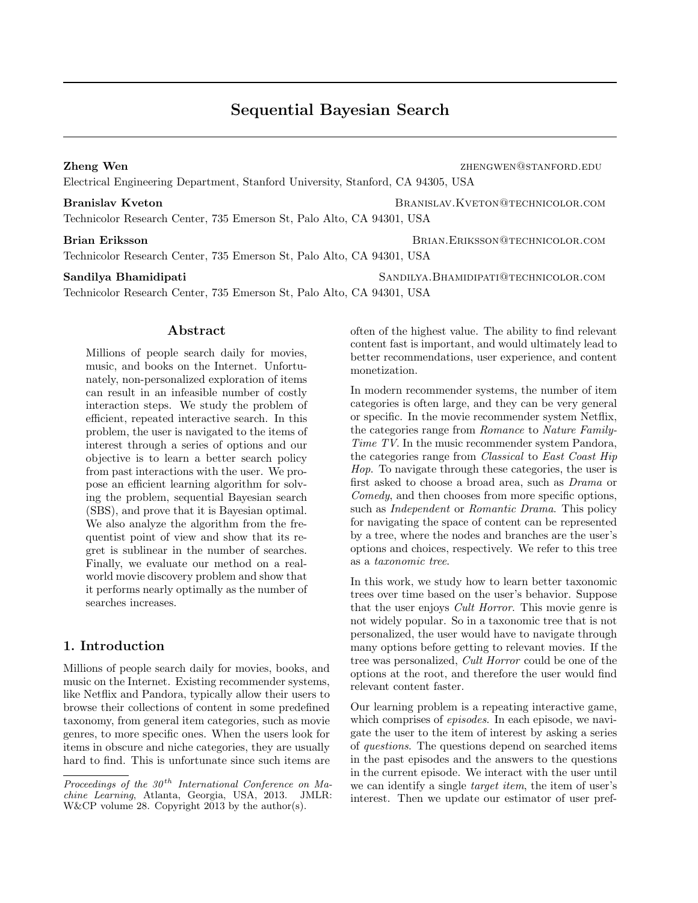# Sequential Bayesian Search

Electrical Engineering Department, Stanford University, Stanford, CA 94305, USA

#### Branislav Kveton BRANISLAV.KVETON@TECHNICOLOR.COM

Technicolor Research Center, 735 Emerson St, Palo Alto, CA 94301, USA

#### Brian Eriksson Brian.ERIKSSON@TECHNICOLOR.COM

Technicolor Research Center, 735 Emerson St, Palo Alto, CA 94301, USA

#### Sandilya Bhamidipati Sandilya Sandilya Bhamidipati Sandilya Sandilya Sandilya Sandilya Sandilya Sandilya Sandi

Technicolor Research Center, 735 Emerson St, Palo Alto, CA 94301, USA

## Abstract

Millions of people search daily for movies, music, and books on the Internet. Unfortunately, non-personalized exploration of items can result in an infeasible number of costly interaction steps. We study the problem of efficient, repeated interactive search. In this problem, the user is navigated to the items of interest through a series of options and our objective is to learn a better search policy from past interactions with the user. We propose an efficient learning algorithm for solving the problem, sequential Bayesian search (SBS), and prove that it is Bayesian optimal. We also analyze the algorithm from the frequentist point of view and show that its regret is sublinear in the number of searches. Finally, we evaluate our method on a realworld movie discovery problem and show that it performs nearly optimally as the number of searches increases.

# 1. Introduction

Millions of people search daily for movies, books, and music on the Internet. Existing recommender systems, like Netflix and Pandora, typically allow their users to browse their collections of content in some predefined taxonomy, from general item categories, such as movie genres, to more specific ones. When the users look for items in obscure and niche categories, they are usually hard to find. This is unfortunate since such items are often of the highest value. The ability to find relevant content fast is important, and would ultimately lead to better recommendations, user experience, and content monetization.

In modern recommender systems, the number of item categories is often large, and they can be very general or specific. In the movie recommender system Netflix, the categories range from Romance to Nature Family-Time TV. In the music recommender system Pandora, the categories range from Classical to East Coast Hip Hop. To navigate through these categories, the user is first asked to choose a broad area, such as Drama or Comedy, and then chooses from more specific options, such as *Independent* or *Romantic Drama*. This policy for navigating the space of content can be represented by a tree, where the nodes and branches are the user's options and choices, respectively. We refer to this tree as a taxonomic tree.

In this work, we study how to learn better taxonomic trees over time based on the user's behavior. Suppose that the user enjoys Cult Horror. This movie genre is not widely popular. So in a taxonomic tree that is not personalized, the user would have to navigate through many options before getting to relevant movies. If the tree was personalized, Cult Horror could be one of the options at the root, and therefore the user would find relevant content faster.

Our learning problem is a repeating interactive game, which comprises of *episodes*. In each episode, we navigate the user to the item of interest by asking a series of questions. The questions depend on searched items in the past episodes and the answers to the questions in the current episode. We interact with the user until we can identify a single *target item*, the item of user's interest. Then we update our estimator of user pref-

**Zheng Wen Zheng Wen zhengwen@stanford.com** 

Proceedings of the  $30<sup>th</sup>$  International Conference on Machine Learning, Atlanta, Georgia, USA, 2013. JMLR: W&CP volume 28. Copyright 2013 by the author(s).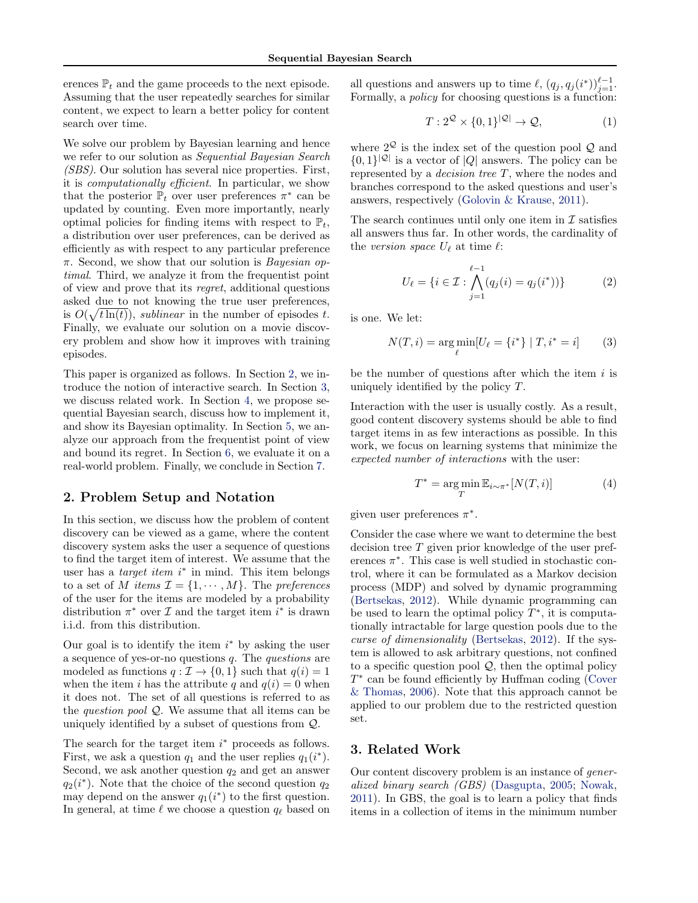<span id="page-1-0"></span>erences  $\mathbb{P}_t$  and the game proceeds to the next episode. Assuming that the user repeatedly searches for similar content, we expect to learn a better policy for content search over time.

We solve our problem by Bayesian learning and hence we refer to our solution as Sequential Bayesian Search (SBS). Our solution has several nice properties. First, it is computationally efficient. In particular, we show that the posterior  $\mathbb{P}_t$  over user preferences  $\pi^*$  can be updated by counting. Even more importantly, nearly optimal policies for finding items with respect to  $\mathbb{P}_t$ , a distribution over user preferences, can be derived as efficiently as with respect to any particular preference  $\pi$ . Second, we show that our solution is *Bayesian op*timal. Third, we analyze it from the frequentist point of view and prove that its regret, additional questions asked due to not knowing the true user preferences, is  $O(\sqrt{t\ln(t)})$ , *sublinear* in the number of episodes t. Finally, we evaluate our solution on a movie discovery problem and show how it improves with training episodes.

This paper is organized as follows. In Section 2, we introduce the notion of interactive search. In Section 3, we discuss related work. In Section [4,](#page-2-0) we propose sequential Bayesian search, discuss how to implement it, and show its Bayesian optimality. In Section [5,](#page-4-0) we analyze our approach from the frequentist point of view and bound its regret. In Section [6,](#page-5-0) we evaluate it on a real-world problem. Finally, we conclude in Section [7.](#page-7-0)

## 2. Problem Setup and Notation

In this section, we discuss how the problem of content discovery can be viewed as a game, where the content discovery system asks the user a sequence of questions to find the target item of interest. We assume that the user has a *target item*  $i^*$  in mind. This item belongs to a set of M items  $\mathcal{I} = \{1, \cdots, M\}$ . The preferences of the user for the items are modeled by a probability distribution  $\pi^*$  over  $\mathcal I$  and the target item  $i^*$  is drawn i.i.d. from this distribution.

Our goal is to identify the item  $i^*$  by asking the user a sequence of yes-or-no questions  $q$ . The *questions* are modeled as functions  $q : \mathcal{I} \to \{0, 1\}$  such that  $q(i) = 1$ when the item i has the attribute q and  $q(i) = 0$  when it does not. The set of all questions is referred to as the *question pool*  $Q$ . We assume that all items can be uniquely identified by a subset of questions from Q.

The search for the target item  $i^*$  proceeds as follows. First, we ask a question  $q_1$  and the user replies  $q_1(i^*)$ . Second, we ask another question  $q_2$  and get an answer  $q_2(i^*)$ . Note that the choice of the second question  $q_2$ may depend on the answer  $q_1(i^*)$  to the first question. In general, at time  $\ell$  we choose a question  $q_{\ell}$  based on

all questions and answers up to time  $\ell$ ,  $(q_j, q_j (i^*))_{j=1}^{\ell-1}$ . Formally, a *policy* for choosing questions is a function:

$$
T: 2^{\mathcal{Q}} \times \{0, 1\}^{|\mathcal{Q}|} \to \mathcal{Q}, \tag{1}
$$

where  $2^{\mathcal{Q}}$  is the index set of the question pool  $\mathcal{Q}$  and  $\{0,1\}^{|Q|}$  is a vector of  $|Q|$  answers. The policy can be represented by a *decision tree*  $T$ , where the nodes and branches correspond to the asked questions and user's answers, respectively [\(Golovin & Krause,](#page-8-0) [2011\)](#page-8-0).

The search continues until only one item in  $\mathcal I$  satisfies all answers thus far. In other words, the cardinality of the version space  $U_{\ell}$  at time  $\ell$ :

$$
U_{\ell} = \{ i \in \mathcal{I} : \bigwedge_{j=1}^{\ell-1} (q_j(i) = q_j(i^*)) \}
$$
 (2)

is one. We let:

$$
N(T, i) = \underset{\ell}{\arg\min} [U_{\ell} = \{i^*\} | T, i^* = i]
$$
 (3)

be the number of questions after which the item  $i$  is uniquely identified by the policy T.

Interaction with the user is usually costly. As a result, good content discovery systems should be able to find target items in as few interactions as possible. In this work, we focus on learning systems that minimize the expected number of interactions with the user:

$$
T^* = \underset{T}{\arg\min} \mathbb{E}_{i \sim \pi^*}[N(T, i)] \tag{4}
$$

given user preferences  $\pi^*$ .

Consider the case where we want to determine the best decision tree T given prior knowledge of the user preferences  $\pi^*$ . This case is well studied in stochastic control, where it can be formulated as a Markov decision process (MDP) and solved by dynamic programming [\(Bertsekas,](#page-8-0) [2012\)](#page-8-0). While dynamic programming can be used to learn the optimal policy  $T^*$ , it is computationally intractable for large question pools due to the curse of dimensionality [\(Bertsekas,](#page-8-0) [2012\)](#page-8-0). If the system is allowed to ask arbitrary questions, not confined to a specific question pool  $\mathcal{Q}$ , then the optimal policy T ∗ can be found efficiently by Huffman coding [\(Cover](#page-8-0) [& Thomas,](#page-8-0) [2006\)](#page-8-0). Note that this approach cannot be applied to our problem due to the restricted question set.

### 3. Related Work

Our content discovery problem is an instance of generalized binary search (GBS) [\(Dasgupta,](#page-8-0) [2005;](#page-8-0) [Nowak,](#page-8-0) [2011\)](#page-8-0). In GBS, the goal is to learn a policy that finds items in a collection of items in the minimum number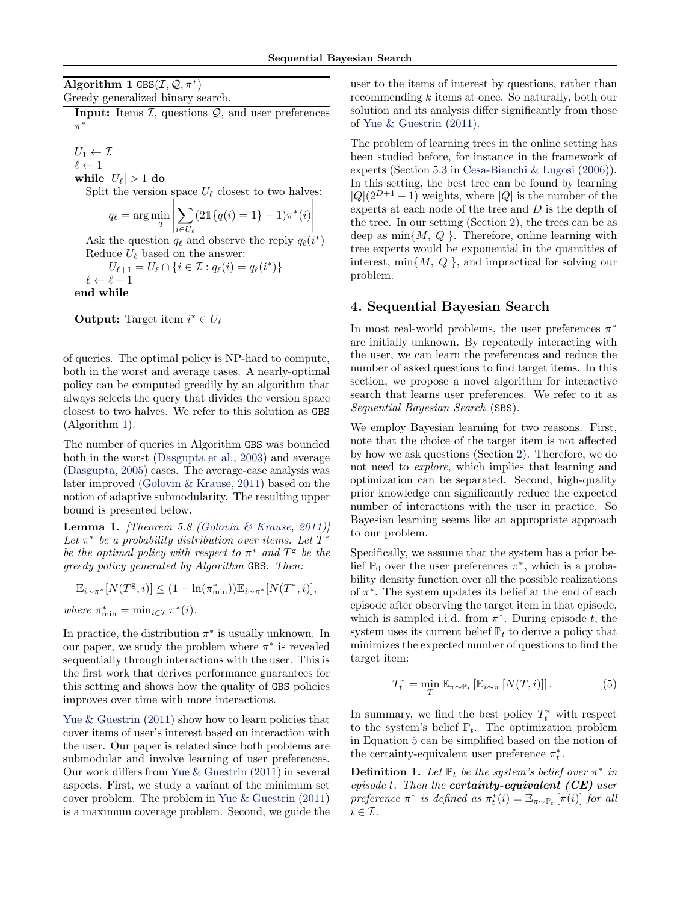<span id="page-2-0"></span>Algorithm 1  $GBS(\mathcal{I}, \mathcal{Q}, \pi^*)$ Greedy generalized binary search.

**Input:** Items  $I$ , questions  $Q$ , and user preferences π ∗

 $U_1 \leftarrow \mathcal{I}$  $\ell \leftarrow 1$ while  $|U_{\ell}| > 1$  do

Split the version space  $U_{\ell}$  closest to two halves:  $\overline{\phantom{a}}$  $\overline{\phantom{a}}$ 

$$
q_{\ell} = \arg \min_{q} \left| \sum_{i \in U_{\ell}} (21\{q(i) = 1\} - 1)\pi^*(i) \right|
$$

Ask the question  $q_\ell$  and observe the reply  $q_\ell(i^*)$ Reduce  $U_{\ell}$  based on the answer:

$$
U_{\ell+1} = U_{\ell} \cap \{i \in \mathcal{I} : q_{\ell}(i) = q_{\ell}(i^*)\}
$$

$$
\ell \leftarrow \ell + 1
$$

end while

**Output:** Target item  $i^* \in U_\ell$ 

of queries. The optimal policy is NP-hard to compute, both in the worst and average cases. A nearly-optimal policy can be computed greedily by an algorithm that always selects the query that divides the version space closest to two halves. We refer to this solution as GBS (Algorithm 1).

The number of queries in Algorithm GBS was bounded both in the worst [\(Dasgupta et al.,](#page-8-0) [2003\)](#page-8-0) and average [\(Dasgupta,](#page-8-0) [2005\)](#page-8-0) cases. The average-case analysis was later improved [\(Golovin & Krause,](#page-8-0) [2011\)](#page-8-0) based on the notion of adaptive submodularity. The resulting upper bound is presented below.

**Lemma 1.** [Theorem 5.8 [\(Golovin & Krause,](#page-8-0) [2011\)](#page-8-0)] Let  $\pi^*$  be a probability distribution over items. Let  $T^*$ be the optimal policy with respect to  $\pi^*$  and  $T^{\mathsf{g}}$  be the greedy policy generated by Algorithm GBS. Then:

$$
\mathbb{E}_{i \sim \pi^*}[N(T^{\mathsf{g}}, i)] \le (1 - \ln(\pi_{\min}^*)) \mathbb{E}_{i \sim \pi^*}[N(T^*, i)],
$$
  
where  $\pi_{\min}^* = \min_{i \in \mathcal{I}} \pi^*(i)$ .

In practice, the distribution  $\pi^*$  is usually unknown. In our paper, we study the problem where  $\pi^*$  is revealed sequentially through interactions with the user. This is the first work that derives performance guarantees for this setting and shows how the quality of GBS policies improves over time with more interactions.

Yue  $&$  Guestrin [\(2011\)](#page-8-0) show how to learn policies that cover items of user's interest based on interaction with the user. Our paper is related since both problems are submodular and involve learning of user preferences. Our work differs from [Yue & Guestrin](#page-8-0) [\(2011\)](#page-8-0) in several aspects. First, we study a variant of the minimum set cover problem. The problem in [Yue & Guestrin](#page-8-0) [\(2011\)](#page-8-0) is a maximum coverage problem. Second, we guide the user to the items of interest by questions, rather than recommending k items at once. So naturally, both our solution and its analysis differ significantly from those of [Yue & Guestrin](#page-8-0) [\(2011\)](#page-8-0).

The problem of learning trees in the online setting has been studied before, for instance in the framework of experts (Section 5.3 in [Cesa-Bianchi & Lugosi](#page-8-0) [\(2006\)](#page-8-0)). In this setting, the best tree can be found by learning  $|Q|(2^{D+1}-1)$  weights, where  $|Q|$  is the number of the experts at each node of the tree and D is the depth of the tree. In our setting (Section [2\)](#page-1-0), the trees can be as deep as  $\min\{M, |Q|\}$ . Therefore, online learning with tree experts would be exponential in the quantities of interest,  $\min\{M, |Q|\}$ , and impractical for solving our problem.

# 4. Sequential Bayesian Search

In most real-world problems, the user preferences  $\pi^*$ are initially unknown. By repeatedly interacting with the user, we can learn the preferences and reduce the number of asked questions to find target items. In this section, we propose a novel algorithm for interactive search that learns user preferences. We refer to it as Sequential Bayesian Search (SBS).

We employ Bayesian learning for two reasons. First, note that the choice of the target item is not affected by how we ask questions (Section [2\)](#page-1-0). Therefore, we do not need to explore, which implies that learning and optimization can be separated. Second, high-quality prior knowledge can significantly reduce the expected number of interactions with the user in practice. So Bayesian learning seems like an appropriate approach to our problem.

Specifically, we assume that the system has a prior belief  $\mathbb{P}_0$  over the user preferences  $\pi^*$ , which is a probability density function over all the possible realizations of  $\pi^*$ . The system updates its belief at the end of each episode after observing the target item in that episode, which is sampled i.i.d. from  $\pi^*$ . During episode t, the system uses its current belief  $\mathbb{P}_t$  to derive a policy that minimizes the expected number of questions to find the target item:

$$
T_t^* = \min_T \mathbb{E}_{\pi \sim \mathbb{P}_t} \left[ \mathbb{E}_{i \sim \pi} \left[ N(T, i) \right] \right]. \tag{5}
$$

In summary, we find the best policy  $T_t^*$  with respect to the system's belief  $\mathbb{P}_t$ . The optimization problem in Equation 5 can be simplified based on the notion of the certainty-equivalent user preference  $\pi_t^*$ .

**Definition 1.** Let  $\mathbb{P}_t$  be the system's belief over  $\pi^*$  in episode t. Then the **certainty-equivalent**  $(CE)$  user preference  $\pi^*$  is defined as  $\pi_t^*(i) = \mathbb{E}_{\pi \sim \mathbb{P}_t} [\pi(i)]$  for all  $i \in \mathcal{I}$ .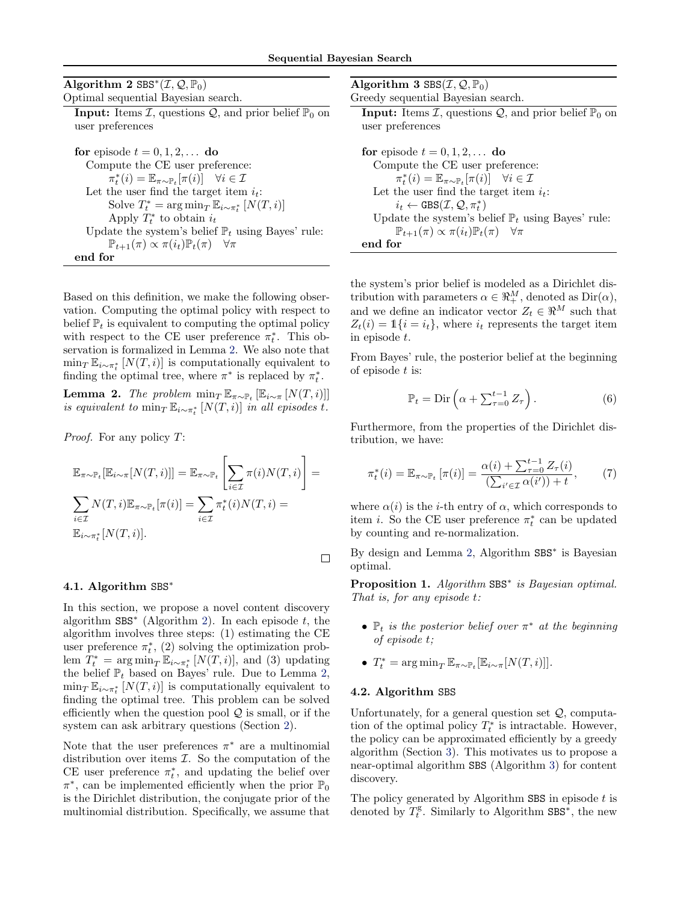<span id="page-3-0"></span>

| Algorithm 2 SBS* $(\mathcal{I}, \mathcal{Q}, \mathbb{P}_0)$                                      | Algorithr  |
|--------------------------------------------------------------------------------------------------|------------|
| Optimal sequential Bayesian search.                                                              | Greedy sec |
| <b>Input:</b> Items $\mathcal{I}$ , questions $\mathcal{Q}$ , and prior belief $\mathbb{P}_0$ on | Input:     |
| user preferences                                                                                 | user pre   |
| for episode $t = 0, 1, 2, \ldots$ do                                                             | for episo  |
| Compute the CE user preference:                                                                  | Comp       |
| $\pi_t^*(i) = \mathbb{E}_{\pi \sim \mathbb{P}_t}[\pi(i)] \quad \forall i \in \mathcal{I}$        | $\pi$      |
| Let the user find the target item $i_t$ :                                                        | Let th     |
| Solve $T_t^* = \arg \min_{T} \mathbb{E}_{i \sim \pi_t^*} [N(T, i)]$                              | $i_{t}$    |
| Apply $T_t^*$ to obtain $i_t$                                                                    | Updat      |
| Update the system's belief $\mathbb{P}_t$ using Bayes' rule:                                     | ℙ          |
| $\mathbb{P}_{t+1}(\pi) \propto \pi(i_t)\mathbb{P}_t(\pi)$ $\forall \pi$                          | end for    |
| end for                                                                                          |            |

Based on this definition, we make the following observation. Computing the optimal policy with respect to belief  $\mathbb{P}_t$  is equivalent to computing the optimal policy with respect to the CE user preference  $\pi_t^*$ . This observation is formalized in Lemma 2. We also note that  $\min_T \mathbb{E}_{i \sim \pi_t^*}[N(T, i)]$  is computationally equivalent to finding the optimal tree, where  $\pi^*$  is replaced by  $\pi_t^*$ .

**Lemma 2.** The problem  $\min_T \mathbb{E}_{\pi \sim \mathbb{P}_t} [\mathbb{E}_{i \sim \pi} [N(T, i)]]$ is equivalent to  $\min_T \mathbb{E}_{i \sim \pi_t^*}[N(T,i)]$  in all episodes t.

Proof. For any policy T:

$$
\mathbb{E}_{\pi \sim \mathbb{P}_t}[\mathbb{E}_{i \sim \pi}[N(T,i)]] = \mathbb{E}_{\pi \sim \mathbb{P}_t} \left[ \sum_{i \in \mathcal{I}} \pi(i) N(T,i) \right] =
$$
\n
$$
\sum_{i \in \mathcal{I}} N(T,i) \mathbb{E}_{\pi \sim \mathbb{P}_t}[\pi(i)] = \sum_{i \in \mathcal{I}} \pi_t^*(i) N(T,i) =
$$
\n
$$
\mathbb{E}_{i \sim \pi_t^*}[N(T,i)].
$$

4.1. Algorithm SBS<sup>\*</sup>

In this section, we propose a novel content discovery algorithm  $SBS^*$  (Algorithm 2). In each episode  $t$ , the algorithm involves three steps: (1) estimating the CE user preference  $\pi_t^*$ , (2) solving the optimization problem  $T_t^* = \arg \min_T \mathbb{E}_{i \sim \pi_t^*}[N(T, i)],$  and (3) updating the belief  $\mathbb{P}_t$  based on Bayes' rule. Due to Lemma 2,  $\min_T \mathbb{E}_{i \sim \pi_t^*}[N(T, i)]$  is computationally equivalent to finding the optimal tree. This problem can be solved efficiently when the question pool  $\mathcal{Q}$  is small, or if the system can ask arbitrary questions (Section [2\)](#page-1-0).

Note that the user preferences  $\pi^*$  are a multinomial distribution over items  $\mathcal{I}$ . So the computation of the CE user preference  $\pi_t^*$ , and updating the belief over  $\pi^*$ , can be implemented efficiently when the prior  $\mathbb{P}_0$ is the Dirichlet distribution, the conjugate prior of the multinomial distribution. Specifically, we assume that

| Algorithm 3 $\text{SBS}(\mathcal{I}, \mathcal{Q}, \mathbb{P}_0)$                                 |
|--------------------------------------------------------------------------------------------------|
| Greedy sequential Bayesian search.                                                               |
| <b>Input:</b> Items $\mathcal{I}$ , questions $\mathcal{Q}$ , and prior belief $\mathbb{P}_0$ on |
| user preferences                                                                                 |
|                                                                                                  |
| for episode $t = 0, 1, 2, \ldots$ do                                                             |
| Compute the CE user preference:                                                                  |
| $\pi_t^*(i) = \mathbb{E}_{\pi \sim \mathbb{P}_t}[\pi(i)] \quad \forall i \in \mathcal{I}$        |
| Let the user find the target item $i_t$ :                                                        |
| $i_t \leftarrow \text{GBS}(\mathcal{I}, \mathcal{Q}, \pi_t^*)$                                   |
| Update the system's belief $\mathbb{P}_t$ using Bayes' rule:                                     |
| $\mathbb{P}_{t+1}(\pi) \propto \pi(i_t)\mathbb{P}_t(\pi) \quad \forall \pi$                      |
|                                                                                                  |

the system's prior belief is modeled as a Dirichlet distribution with parameters  $\alpha \in \mathbb{R}^M_+$ , denoted as  $\text{Dir}(\alpha)$ , and we define an indicator vector  $Z_t \in \mathbb{R}^M$  such that  $Z_t(i) = \mathbb{1}\{i = i_t\},\$  where  $i_t$  represents the target item in episode t.

From Bayes' rule, the posterior belief at the beginning of episode  $t$  is:

$$
\mathbb{P}_t = \text{Dir}\left(\alpha + \sum_{\tau=0}^{t-1} Z_{\tau}\right). \tag{6}
$$

Furthermore, from the properties of the Dirichlet distribution, we have:

$$
\pi_t^*(i) = \mathbb{E}_{\pi \sim \mathbb{P}_t} \left[ \pi(i) \right] = \frac{\alpha(i) + \sum_{\tau=0}^{t-1} Z_{\tau}(i)}{\left( \sum_{i' \in \mathcal{I}} \alpha(i') \right) + t},\tag{7}
$$

where  $\alpha(i)$  is the *i*-th entry of  $\alpha$ , which corresponds to item *i*. So the CE user preference  $\pi_t^*$  can be updated by counting and re-normalization.

By design and Lemma 2, Algorithm SBS<sup>∗</sup> is Bayesian optimal.

Proposition 1. Algorithm SBS<sup>\*</sup> is Bayesian optimal. That is, for any episode t:

- $\mathbb{P}_t$  is the posterior belief over  $\pi^*$  at the beginning of episode t;
- $T_t^* = \arg \min_T \mathbb{E}_{\pi \sim \mathbb{P}_t} [\mathbb{E}_{i \sim \pi}[N(T, i)]].$

#### 4.2. Algorithm SBS

 $\Box$ 

Unfortunately, for a general question set  $Q$ , computation of the optimal policy  $T_t^*$  is intractable. However, the policy can be approximated efficiently by a greedy algorithm (Section [3\)](#page-1-0). This motivates us to propose a near-optimal algorithm SBS (Algorithm 3) for content discovery.

The policy generated by Algorithm SBS in episode  $t$  is denoted by  $T_t^g$ . Similarly to Algorithm SBS<sup>\*</sup>, the new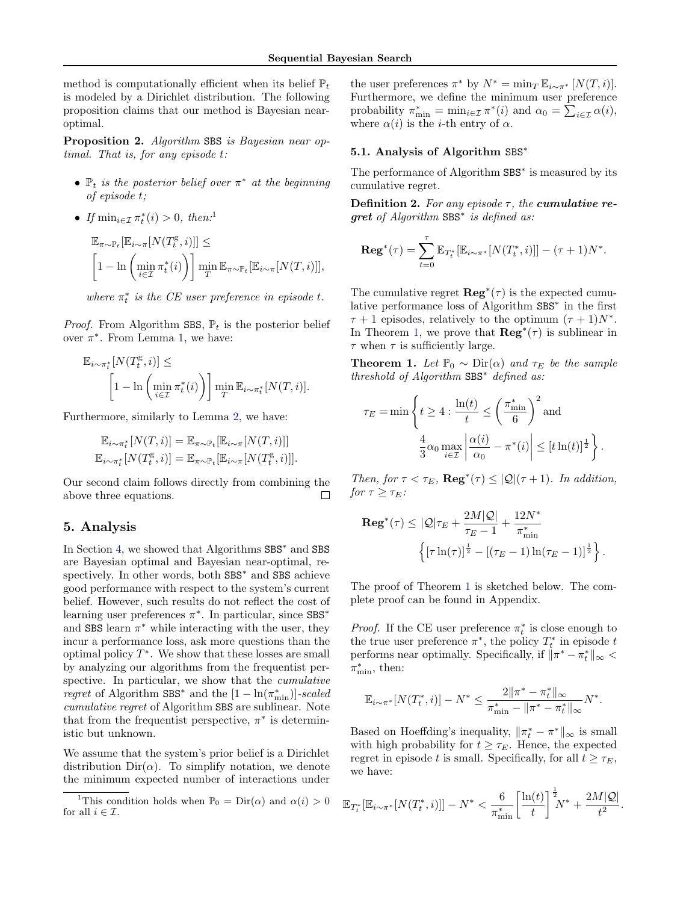<span id="page-4-0"></span>method is computationally efficient when its belief  $\mathbb{P}_t$ is modeled by a Dirichlet distribution. The following proposition claims that our method is Bayesian nearoptimal.

Proposition 2. Algorithm SBS is Bayesian near optimal. That is, for any episode t:

- $\mathbb{P}_t$  is the posterior belief over  $\pi^*$  at the beginning of episode t;
- If  $\min_{i \in \mathcal{I}} \pi_t^*(i) > 0$ , then:<sup>1</sup>

$$
\mathbb{E}_{\pi \sim \mathbb{P}_t} [\mathbb{E}_{i \sim \pi} [N(T_t^{\mathsf{g}}, i)]] \leq
$$
\n
$$
\left[1 - \ln \left(\min_{i \in \mathcal{I}} \pi_t^*(i)\right) \right] \min_T \mathbb{E}_{\pi \sim \mathbb{P}_t} [\mathbb{E}_{i \sim \pi} [N(T, i)]],
$$

where  $\pi_t^*$  is the CE user preference in episode t.

*Proof.* From Algorithm SBS,  $\mathbb{P}_t$  is the posterior belief over  $\pi^*$ . From Lemma [1,](#page-2-0) we have:

$$
\mathbb{E}_{i \sim \pi_t^*}[N(T_t^{\mathbf{g}}, i)] \leq \left[1 - \ln\left(\min_{i \in \mathcal{I}} \pi_t^*(i)\right)\right] \min_{T} \mathbb{E}_{i \sim \pi_t^*}[N(T, i)].
$$

Furthermore, similarly to Lemma [2,](#page-3-0) we have:

$$
\mathbb{E}_{i \sim \pi_t^*}[N(T,i)] = \mathbb{E}_{\pi \sim \mathbb{P}_t}[\mathbb{E}_{i \sim \pi}[N(T,i)]]
$$
  

$$
\mathbb{E}_{i \sim \pi_t^*}[N(T_t^{\mathcal{E}},i)] = \mathbb{E}_{\pi \sim \mathbb{P}_t}[\mathbb{E}_{i \sim \pi}[N(T_t^{\mathcal{E}},i)]].
$$

Our second claim follows directly from combining the above three equations. П

## 5. Analysis

In Section [4,](#page-2-0) we showed that Algorithms SBS<sup>∗</sup> and SBS are Bayesian optimal and Bayesian near-optimal, respectively. In other words, both SBS<sup>∗</sup> and SBS achieve good performance with respect to the system's current belief. However, such results do not reflect the cost of learning user preferences  $\pi^*$ . In particular, since SBS<sup>\*</sup> and SBS learn  $\pi^*$  while interacting with the user, they incur a performance loss, ask more questions than the optimal policy  $T^*$ . We show that these losses are small by analyzing our algorithms from the frequentist perspective. In particular, we show that the *cumulative regret* of Algorithm SBS<sup>\*</sup> and the  $[1 - \ln(\pi^*_{\min})]$ -scaled cumulative regret of Algorithm SBS are sublinear. Note that from the frequentist perspective,  $\pi^*$  is deterministic but unknown.

We assume that the system's prior belief is a Dirichlet distribution  $Dir(\alpha)$ . To simplify notation, we denote the minimum expected number of interactions under

the user preferences  $\pi^*$  by  $N^* = \min_T \mathbb{E}_{i \sim \pi^*} [N(T, i)].$ Furthermore, we define the minimum user preference probability  $\pi_{\min}^* = \min_{i \in \mathcal{I}} \pi^*(i)$  and  $\alpha_0 = \sum_{i \in \mathcal{I}} \alpha(i)$ , where  $\alpha(i)$  is the *i*-th entry of  $\alpha$ .

#### 5.1. Analysis of Algorithm SBS<sup>∗</sup>

The performance of Algorithm SBS<sup>\*</sup> is measured by its cumulative regret.

Definition 2. For any episode  $\tau$ , the cumulative regret of Algorithm SBS<sup>\*</sup> is defined as:

$$
\operatorname{Reg}^*(\tau) = \sum_{t=0}^{\tau} \mathbb{E}_{T_t^*} [\mathbb{E}_{i \sim \pi^*} [N(T_t^*, i)]] - (\tau + 1) N^*.
$$

The cumulative regret  $\text{Reg}^*(\tau)$  is the expected cumulative performance loss of Algorithm SBS<sup>∗</sup> in the first  $\tau + 1$  episodes, relatively to the optimum  $(\tau + 1)N^*$ . In Theorem 1, we prove that  $\mathbf{Reg}^*(\tau)$  is sublinear in  $\tau$  when  $\tau$  is sufficiently large.

**Theorem 1.** Let  $\mathbb{P}_0 \sim \text{Dir}(\alpha)$  and  $\tau_E$  be the sample threshold of Algorithm SBS<sup>∗</sup> defined as:

$$
\tau_E = \min \left\{ t \ge 4 : \frac{\ln(t)}{t} \le \left( \frac{\pi_{\min}^*}{6} \right)^2 \text{ and } \frac{4}{3} \alpha_0 \max_{i \in \mathcal{I}} \left| \frac{\alpha(i)}{\alpha_0} - \pi^*(i) \right| \le [t \ln(t)]^{\frac{1}{2}} \right\}.
$$

Then, for  $\tau < \tau_E$ ,  $\text{Reg}^*(\tau) \leq |\mathcal{Q}|(\tau+1)$ . In addition, for  $\tau \geq \tau_E$ :

$$
\begin{aligned} \mathbf{Reg}^*(\tau) &\leq |\mathcal{Q}|\tau_E + \frac{2M|\mathcal{Q}|}{\tau_E - 1} + \frac{12N^*}{\pi_{\min}^*} \\ & \left\{ [\tau \ln(\tau)]^{\frac{1}{2}} - [(\tau_E - 1) \ln(\tau_E - 1)]^{\frac{1}{2}} \right\} \end{aligned}
$$

.

The proof of Theorem 1 is sketched below. The complete proof can be found in Appendix.

*Proof.* If the CE user preference  $\pi_t^*$  is close enough to the true user preference  $\pi^*$ , the policy  $T_t^*$  in episode t performs near optimally. Specifically, if  $\|\pi^* - \pi_t^*\|_{\infty} <$  $\pi_{\min}^*$ , then:

$$
\mathbb{E}_{i \sim \pi^*}[N(T_t^*, i)] - N^* \le \frac{2\|\pi^* - \pi_t^*\|_{\infty}}{\pi_{\min}^* - \|\pi^* - \pi_t^*\|_{\infty}}N^*.
$$

Based on Hoeffding's inequality,  $\|\pi_t^* - \pi^*\|_{\infty}$  is small with high probability for  $t \geq \tau_E$ . Hence, the expected regret in episode t is small. Specifically, for all  $t \geq \tau_E$ , we have:

$$
\mathbb{E}_{T_t^*}[\mathbb{E}_{i \sim \pi^*}[N(T_t^*, i)]] - N^* < \frac{6}{\pi_{\min}^*} \left[ \frac{\ln(t)}{t} \right]^{\frac{1}{2}} \! N^* + \frac{2M|\mathcal{Q}|}{t^2}.
$$

<sup>&</sup>lt;sup>1</sup>This condition holds when  $\mathbb{P}_0 = \text{Dir}(\alpha)$  and  $\alpha(i) > 0$ for all  $i \in \mathcal{I}$ .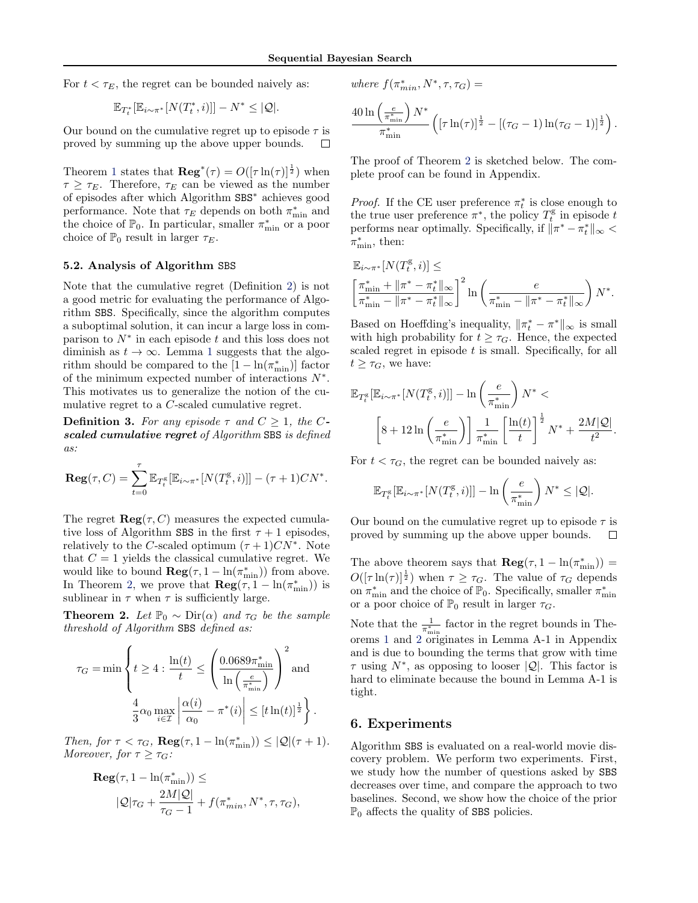<span id="page-5-0"></span>For  $t < \tau_E$ , the regret can be bounded naively as:

$$
\mathbb{E}_{T^*_t}[\mathbb{E}_{i \sim \pi^*}[N(T^*_t,i)]]-N^*\leq |\mathcal{Q}|.
$$

Our bound on the cumulative regret up to episode  $\tau$  is proved by summing up the above upper bounds.  $\Box$ 

Theorem [1](#page-4-0) states that  $\mathbf{Reg}^*(\tau) = O(\lceil \tau \ln(\tau) \rceil^{\frac{1}{2}})$  when  $\tau \geq \tau_E$ . Therefore,  $\tau_E$  can be viewed as the number of episodes after which Algorithm SBS<sup>∗</sup> achieves good performance. Note that  $\tau_E$  depends on both  $\pi^*_{\min}$  and the choice of  $\mathbb{P}_0$ . In particular, smaller  $\pi_{\min}^*$  or a poor choice of  $\mathbb{P}_0$  result in larger  $\tau_E$ .

#### 5.2. Analysis of Algorithm SBS

Note that the cumulative regret (Definition [2\)](#page-4-0) is not a good metric for evaluating the performance of Algorithm SBS. Specifically, since the algorithm computes a suboptimal solution, it can incur a large loss in comparison to  $N^*$  in each episode t and this loss does not diminish as  $t \to \infty$ . Lemma [1](#page-2-0) suggests that the algorithm should be compared to the  $[1 - \ln(\pi_{\min}^*)]$  factor of the minimum expected number of interactions  $N^*$ . This motivates us to generalize the notion of the cumulative regret to a C-scaled cumulative regret.

**Definition 3.** For any episode  $\tau$  and  $C \geq 1$ , the Cscaled cumulative regret of Algorithm SBS is defined as:

$$
\operatorname{Reg}(\tau, C) = \sum_{t=0}^{\tau} \mathbb{E}_{T_t^{\mathrm{g}}} [\mathbb{E}_{i \sim \pi^*}[N(T_t^{\mathrm{g}}, i)]] - (\tau + 1) C N^*.
$$

The regret  $\text{Reg}(\tau, C)$  measures the expected cumulative loss of Algorithm SBS in the first  $\tau + 1$  episodes, relatively to the C-scaled optimum  $(\tau+1)CN^*$ . Note that  $C = 1$  yields the classical cumulative regret. We would like to bound  $\mathbf{Reg}(\tau, 1 - \ln(\pi_{\min}^*))$  from above. In Theorem 2, we prove that  $\mathbf{Reg}(\tau, 1 - \ln(\pi_{\min}^*))$  is sublinear in  $\tau$  when  $\tau$  is sufficiently large.

**Theorem 2.** Let  $\mathbb{P}_0 \sim \text{Dir}(\alpha)$  and  $\tau_G$  be the sample threshold of Algorithm SBS defined as:

$$
\tau_G = \min \left\{ t \ge 4 : \frac{\ln(t)}{t} \le \left( \frac{0.0689 \pi_{\min}^*}{\ln\left(\frac{e}{\pi_{\min}^*}\right)} \right)^2 \text{and} \right\}
$$

$$
\frac{4}{3} \alpha_0 \max_{i \in \mathcal{I}} \left| \frac{\alpha(i)}{\alpha_0} - \pi^*(i) \right| \le [t \ln(t)]^{\frac{1}{2}} \right\}.
$$

Then, for  $\tau < \tau_G$ ,  $\text{Reg}(\tau, 1 - \ln(\pi_{\min}^*)) \leq |\mathcal{Q}|(\tau + 1)$ . Moreover, for  $\tau \geq \tau_G$ :

$$
\begin{aligned} \mathbf{Reg}(\tau, 1 - \ln(\pi_{\min}^*)) &\leq \\ & |\mathcal{Q}|\tau_G + \frac{2M|\mathcal{Q}|}{\tau_G - 1} + f(\pi_{min}^*, N^*, \tau, \tau_G), \end{aligned}
$$

where 
$$
f(\pi_{min}^*, N^*, \tau, \tau_G)
$$
 =

$$
\frac{40 \ln \left(\frac{e}{\pi_{\min}^*} \right) N^*}{\pi_{\min}^*} \left( \left[ \tau \ln(\tau) \right]^{\frac{1}{2}} - \left[ (\tau_G - 1) \ln(\tau_G - 1) \right]^{\frac{1}{2}} \right).
$$

The proof of Theorem 2 is sketched below. The complete proof can be found in Appendix.

*Proof.* If the CE user preference  $\pi_t^*$  is close enough to the true user preference  $\pi^*$ , the policy  $T_t^{\text{g}}$  in episode t performs near optimally. Specifically, if  $\|\pi^* - \pi_t^*\|_{\infty}$  $\pi_{\min}^*$ , then:

$$
\mathbb{E}_{i \sim \pi^*} [N(T_t^{\rm g}, i)] \leq
$$
\n
$$
\left[ \frac{\pi^*_{\min} + \|\pi^* - \pi^*_t\|_{\infty}}{\pi^*_{\min} - \|\pi^* - \pi^*_t\|_{\infty}} \right]^2 \ln \left( \frac{e}{\pi^*_{\min} - \|\pi^* - \pi^*_t\|_{\infty}} \right) N^*.
$$

Based on Hoeffding's inequality,  $\|\pi_t^* - \pi^*\|_{\infty}$  is small with high probability for  $t \geq \tau_G$ . Hence, the expected scaled regret in episode  $t$  is small. Specifically, for all  $t \geq \tau_G$ , we have:

$$
\mathbb{E}_{T_t^{\mathcal{S}}}[\mathbb{E}_{i \sim \pi^*}[N(T_t^{\mathcal{S}}, i)]] - \ln\left(\frac{e}{\pi_{\min}^*}\right) N^* \n\left[8 + 12 \ln\left(\frac{e}{\pi_{\min}^*}\right)\right] \frac{1}{\pi_{\min}^*} \left[\frac{\ln(t)}{t}\right]^{\frac{1}{2}} N^* + \frac{2M|\mathcal{Q}|}{t^2}.
$$

For  $t < \tau_G$ , the regret can be bounded naively as:

$$
\mathbb{E}_{T_t^{\mathcal{E}}}[\mathbb{E}_{i \sim \pi^*}[N(T_t^{\mathcal{E}}, i)]] - \ln\left(\frac{e}{\pi^*_{\min}}\right) N^* \leq |\mathcal{Q}|.
$$

Our bound on the cumulative regret up to episode  $\tau$  is proved by summing up the above upper bounds.  $\Box$ 

The above theorem says that  $\text{Reg}(\tau, 1 - \ln(\pi_{\min}^*))$  =  $O([\tau \ln(\tau)]^{\frac{1}{2}})$  when  $\tau \geq \tau_G$ . The value of  $\tau_G$  depends on  $\pi_{\min}^*$  and the choice of  $\mathbb{P}_0$ . Specifically, smaller  $\pi_{\min}^*$ or a poor choice of  $\mathbb{P}_0$  result in larger  $\tau_G$ .

Note that the  $\frac{1}{\pi_{\min}^*}$  factor in the regret bounds in Theorems [1](#page-4-0) and 2 originates in Lemma A-1 in Appendix and is due to bounding the terms that grow with time  $\tau$  using  $N^*$ , as opposing to looser  $|Q|$ . This factor is hard to eliminate because the bound in Lemma A-1 is tight.

## 6. Experiments

Algorithm SBS is evaluated on a real-world movie discovery problem. We perform two experiments. First, we study how the number of questions asked by SBS decreases over time, and compare the approach to two baselines. Second, we show how the choice of the prior  $\mathbb{P}_0$  affects the quality of SBS policies.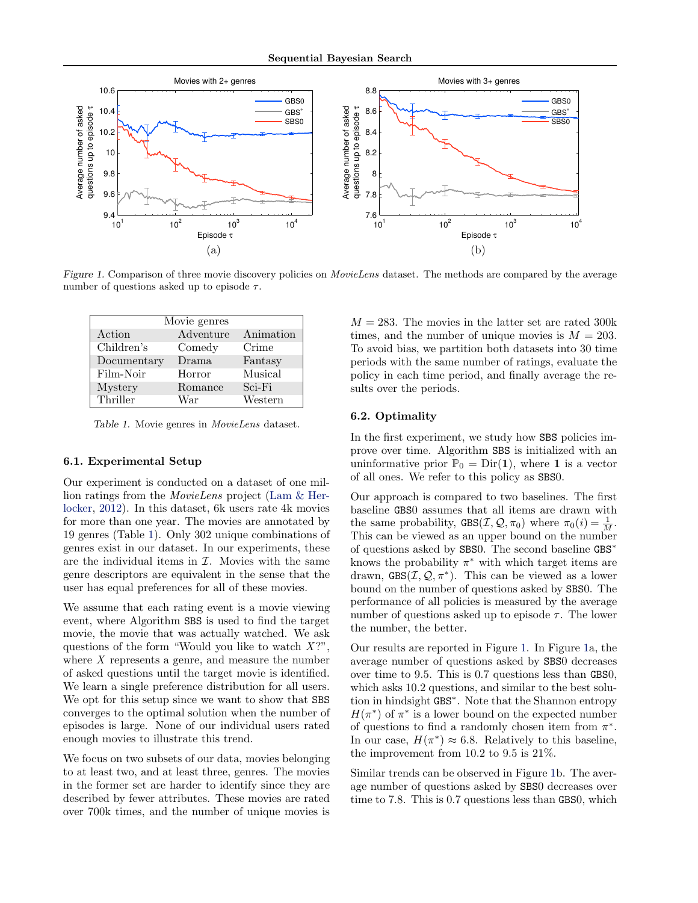

Figure 1. Comparison of three movie discovery policies on *MovieLens* dataset. The methods are compared by the average number of questions asked up to episode  $\tau$ .

| Movie genres |           |           |
|--------------|-----------|-----------|
| Action       | Adventure | Animation |
| Children's   | Comedy    | Crime     |
| Documentary  | Drama     | Fantasy   |
| Film-Noir    | Horror    | Musical   |
| Mystery      | Romance   | Sci-Fi    |
| Thriller     | War       | Western   |

Table 1. Movie genres in MovieLens dataset.

#### 6.1. Experimental Setup

Our experiment is conducted on a dataset of one million ratings from the MovieLens project [\(Lam & Her](#page-8-0)[locker,](#page-8-0) [2012\)](#page-8-0). In this dataset, 6k users rate 4k movies for more than one year. The movies are annotated by 19 genres (Table 1). Only 302 unique combinations of genres exist in our dataset. In our experiments, these are the individual items in  $I$ . Movies with the same genre descriptors are equivalent in the sense that the user has equal preferences for all of these movies.

We assume that each rating event is a movie viewing event, where Algorithm SBS is used to find the target movie, the movie that was actually watched. We ask questions of the form "Would you like to watch  $X$ ?", where  $X$  represents a genre, and measure the number of asked questions until the target movie is identified. We learn a single preference distribution for all users. We opt for this setup since we want to show that SBS converges to the optimal solution when the number of episodes is large. None of our individual users rated enough movies to illustrate this trend.

We focus on two subsets of our data, movies belonging to at least two, and at least three, genres. The movies in the former set are harder to identify since they are described by fewer attributes. These movies are rated over 700k times, and the number of unique movies is

 $M = 283$ . The movies in the latter set are rated 300k times, and the number of unique movies is  $M = 203$ . To avoid bias, we partition both datasets into 30 time periods with the same number of ratings, evaluate the policy in each time period, and finally average the results over the periods.

#### 6.2. Optimality

In the first experiment, we study how SBS policies improve over time. Algorithm SBS is initialized with an uninformative prior  $\mathbb{P}_0 = \text{Dir}(\mathbf{1})$ , where **1** is a vector of all ones. We refer to this policy as SBS0.

Our approach is compared to two baselines. The first baseline GBS0 assumes that all items are drawn with the same probability,  $GBS(\mathcal{I}, \mathcal{Q}, \pi_0)$  where  $\pi_0(i) = \frac{1}{M}$ . This can be viewed as an upper bound on the number of questions asked by SBS0. The second baseline GBS<sup>∗</sup> knows the probability  $\pi^*$  with which target items are drawn,  $GBS(\mathcal{I}, \mathcal{Q}, \pi^*)$ . This can be viewed as a lower bound on the number of questions asked by SBS0. The performance of all policies is measured by the average number of questions asked up to episode  $\tau$ . The lower the number, the better.

Our results are reported in Figure 1. In Figure 1a, the average number of questions asked by SBS0 decreases over time to 9.5. This is 0.7 questions less than GBS0, which asks 10.2 questions, and similar to the best solution in hindsight GBS<sup>∗</sup> . Note that the Shannon entropy  $H(\pi^*)$  of  $\pi^*$  is a lower bound on the expected number of questions to find a randomly chosen item from  $\pi^*$ . In our case,  $H(\pi^*) \approx 6.8$ . Relatively to this baseline, the improvement from 10.2 to 9.5 is 21%.

Similar trends can be observed in Figure 1b. The average number of questions asked by SBS0 decreases over time to 7.8. This is 0.7 questions less than GBS0, which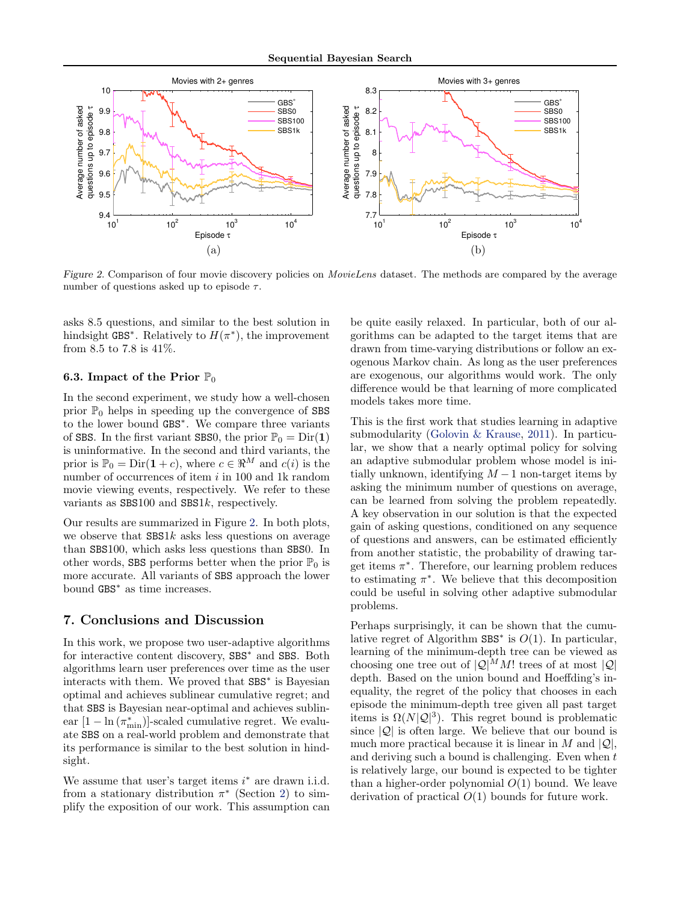<span id="page-7-0"></span>

Figure 2. Comparison of four movie discovery policies on MovieLens dataset. The methods are compared by the average number of questions asked up to episode  $\tau$ .

asks 8.5 questions, and similar to the best solution in hindsight GBS<sup>\*</sup>. Relatively to  $H(\pi^*)$ , the improvement from 8.5 to 7.8 is 41%.

## 6.3. Impact of the Prior  $\mathbb{P}_0$

In the second experiment, we study how a well-chosen prior  $\mathbb{P}_0$  helps in speeding up the convergence of SBS to the lower bound GBS<sup>∗</sup> . We compare three variants of SBS. In the first variant SBS0, the prior  $\mathbb{P}_0 = \text{Dir}(1)$ is uninformative. In the second and third variants, the prior is  $\mathbb{P}_0 = \text{Dir}(\mathbf{1} + c)$ , where  $c \in \Re^M$  and  $c(i)$  is the number of occurrences of item  $i$  in 100 and 1k random movie viewing events, respectively. We refer to these variants as SBS100 and SBS1k, respectively.

Our results are summarized in Figure 2. In both plots, we observe that  $SBS1k$  asks less questions on average than SBS100, which asks less questions than SBS0. In other words, SBS performs better when the prior  $\mathbb{P}_0$  is more accurate. All variants of SBS approach the lower bound GBS<sup>∗</sup> as time increases.

# 7. Conclusions and Discussion

In this work, we propose two user-adaptive algorithms for interactive content discovery, SBS<sup>∗</sup> and SBS. Both algorithms learn user preferences over time as the user interacts with them. We proved that SBS<sup>∗</sup> is Bayesian optimal and achieves sublinear cumulative regret; and that SBS is Bayesian near-optimal and achieves sublinear  $[1 - \ln(\pi_{\min}^*)]$ -scaled cumulative regret. We evaluate SBS on a real-world problem and demonstrate that its performance is similar to the best solution in hindsight.

We assume that user's target items  $i^*$  are drawn i.i.d. from a stationary distribution  $\pi^*$  (Section [2\)](#page-1-0) to simplify the exposition of our work. This assumption can be quite easily relaxed. In particular, both of our algorithms can be adapted to the target items that are drawn from time-varying distributions or follow an exogenous Markov chain. As long as the user preferences are exogenous, our algorithms would work. The only difference would be that learning of more complicated models takes more time.

This is the first work that studies learning in adaptive submodularity [\(Golovin & Krause,](#page-8-0) [2011\)](#page-8-0). In particular, we show that a nearly optimal policy for solving an adaptive submodular problem whose model is initially unknown, identifying  $M-1$  non-target items by asking the minimum number of questions on average, can be learned from solving the problem repeatedly. A key observation in our solution is that the expected gain of asking questions, conditioned on any sequence of questions and answers, can be estimated efficiently from another statistic, the probability of drawing target items  $\pi^*$ . Therefore, our learning problem reduces to estimating  $\pi^*$ . We believe that this decomposition could be useful in solving other adaptive submodular problems.

Perhaps surprisingly, it can be shown that the cumulative regret of Algorithm  $SBS^*$  is  $O(1)$ . In particular, learning of the minimum-depth tree can be viewed as choosing one tree out of  $|Q|^M M!$  trees of at most  $|Q|$ depth. Based on the union bound and Hoeffding's inequality, the regret of the policy that chooses in each episode the minimum-depth tree given all past target items is  $\Omega(N|\mathcal{Q}|^3)$ . This regret bound is problematic since  $|Q|$  is often large. We believe that our bound is much more practical because it is linear in M and  $|Q|$ , and deriving such a bound is challenging. Even when  $t$ is relatively large, our bound is expected to be tighter than a higher-order polynomial  $O(1)$  bound. We leave derivation of practical  $O(1)$  bounds for future work.